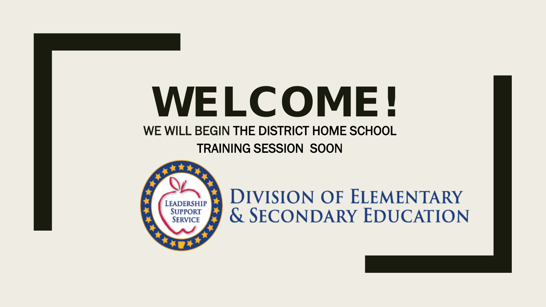### WELCOME! WE WILL BEGIN THE DISTRICT HOME SCHOOL TRAINING SESSION SOON



**DIVISION OF ELEMENTARY & SECONDARY EDUCATION**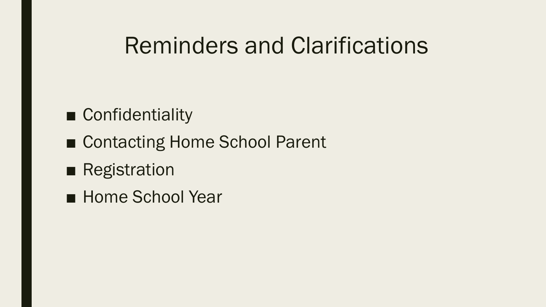# Reminders and Clarifications

### ■ Confidentiality

- Contacting Home School Parent
- Registration
- Home School Year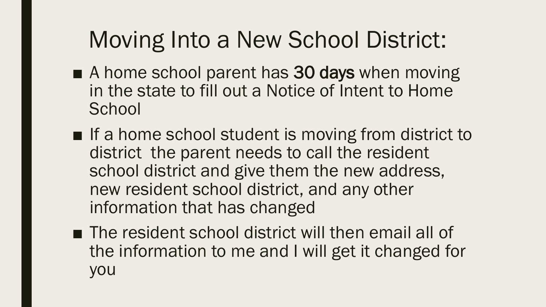# Moving Into a New School District:

- A home school parent has 30 days when moving in the state to fill out a Notice of Intent to Home **School**
- If a home school student is moving from district to district the parent needs to call the resident school district and give them the new address, new resident school district, and any other information that has changed
- The resident school district will then email all of the information to me and I will get it changed for you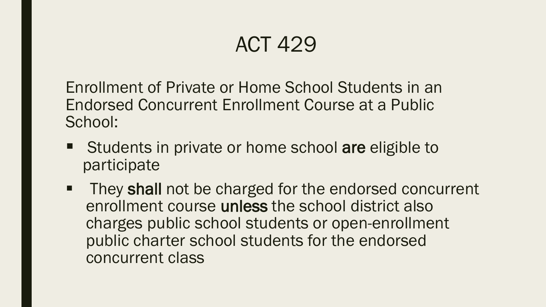Enrollment of Private or Home School Students in an Endorsed Concurrent Enrollment Course at a Public School:

- Students in private or home school are eligible to participate
- They shall not be charged for the endorsed concurrent enrollment course unless the school district also charges public school students or open-enrollment public charter school students for the endorsed concurrent class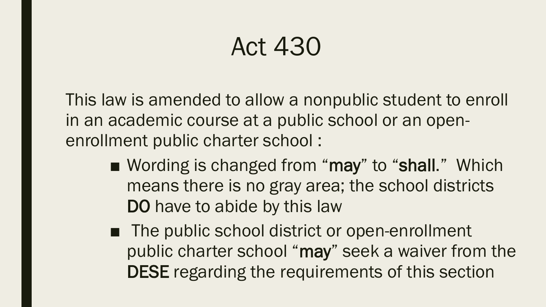# Act 430

This law is amended to allow a nonpublic student to enroll in an academic course at a public school or an openenrollment public charter school :

- Wording is changed from "may" to "shall." Which means there is no gray area; the school districts DO have to abide by this law
- The public school district or open-enrollment public charter school "may" seek a waiver from the DESE regarding the requirements of this section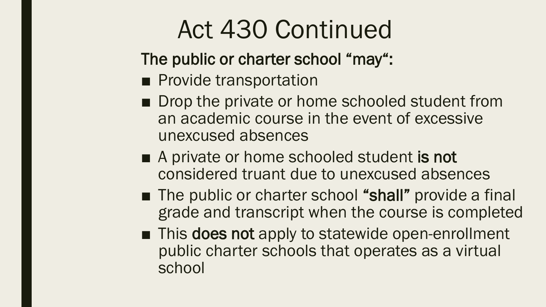# Act 430 Continued

The public or charter school "may":

- Provide transportation
- Drop the private or home schooled student from an academic course in the event of excessive unexcused absences
- A private or home schooled student is not considered truant due to unexcused absences
- The public or charter school "shall" provide a final grade and transcript when the course is completed
- This does not apply to statewide open-enrollment public charter schools that operates as a virtual school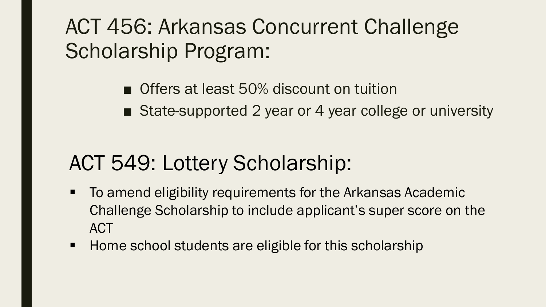# ACT 456: Arkansas Concurrent Challenge Scholarship Program:

#### ■ Offers at least 50% discount on tuition

■ State-supported 2 year or 4 year college or university

# ACT 549: Lottery Scholarship:

- To amend eligibility requirements for the Arkansas Academic Challenge Scholarship to include applicant's super score on the **ACT**
- **Home school students are eligible for this scholarship**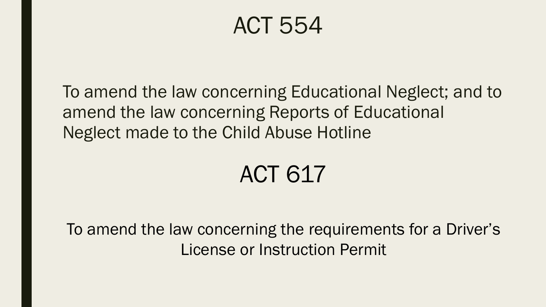To amend the law concerning Educational Neglect; and to amend the law concerning Reports of Educational Neglect made to the Child Abuse Hotline

# ACT 617

To amend the law concerning the requirements for a Driver's License or Instruction Permit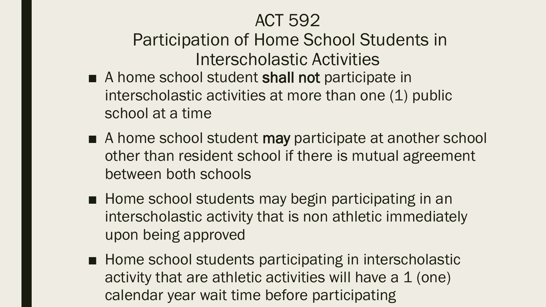Participation of Home School Students in Interscholastic Activities

- A home school student shall not participate in interscholastic activities at more than one (1) public school at a time
- A home school student may participate at another school other than resident school if there is mutual agreement between both schools
- Home school students may begin participating in an interscholastic activity that is non athletic immediately upon being approved
- Home school students participating in interscholastic activity that are athletic activities will have a 1 (one) calendar year wait time before participating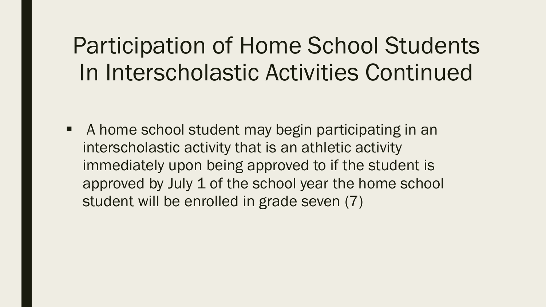# Participation of Home School Students In Interscholastic Activities Continued

 A home school student may begin participating in an interscholastic activity that is an athletic activity immediately upon being approved to if the student is approved by July 1 of the school year the home school student will be enrolled in grade seven (7)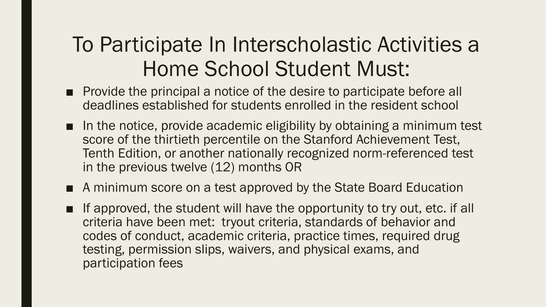## To Participate In Interscholastic Activities a Home School Student Must:

- Provide the principal a notice of the desire to participate before all deadlines established for students enrolled in the resident school
- In the notice, provide academic eligibility by obtaining a minimum test score of the thirtieth percentile on the Stanford Achievement Test, Tenth Edition, or another nationally recognized norm-referenced test in the previous twelve (12) months OR
- A minimum score on a test approved by the State Board Education
- If approved, the student will have the opportunity to try out, etc. if all criteria have been met: tryout criteria, standards of behavior and codes of conduct, academic criteria, practice times, required drug testing, permission slips, waivers, and physical exams, and participation fees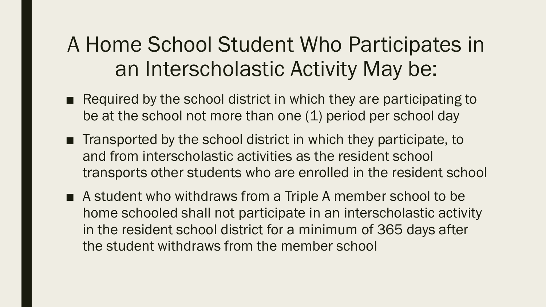## A Home School Student Who Participates in an Interscholastic Activity May be:

- Required by the school district in which they are participating to be at the school not more than one (1) period per school day
- Transported by the school district in which they participate, to and from interscholastic activities as the resident school transports other students who are enrolled in the resident school
- A student who withdraws from a Triple A member school to be home schooled shall not participate in an interscholastic activity in the resident school district for a minimum of 365 days after the student withdraws from the member school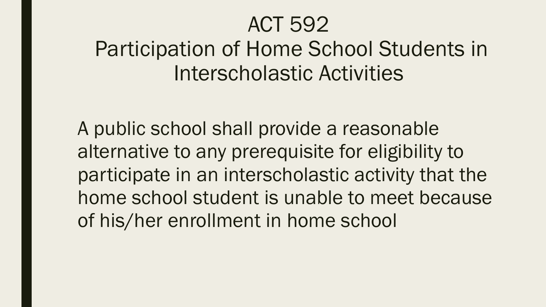## Participation of Home School Students in Interscholastic Activities

A public school shall provide a reasonable alternative to any prerequisite for eligibility to participate in an interscholastic activity that the home school student is unable to meet because of his/her enrollment in home school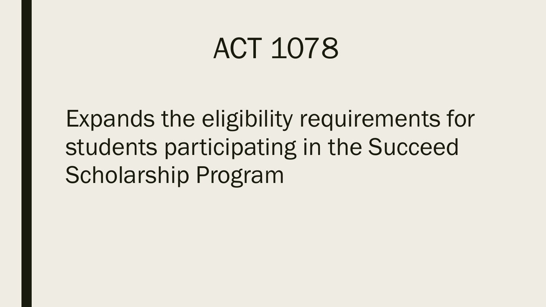Expands the eligibility requirements for students participating in the Succeed Scholarship Program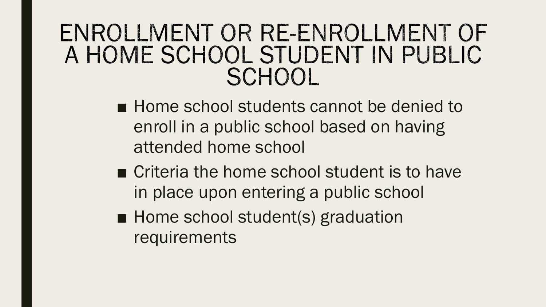## ENROLLMENT OR RE-ENROLLMENT OF A HOME SCHOOL STUDENT IN PUBLIC SCHOOL

- Home school students cannot be denied to enroll in a public school based on having attended home school
- Criteria the home school student is to have in place upon entering a public school
- Home school student(s) graduation requirements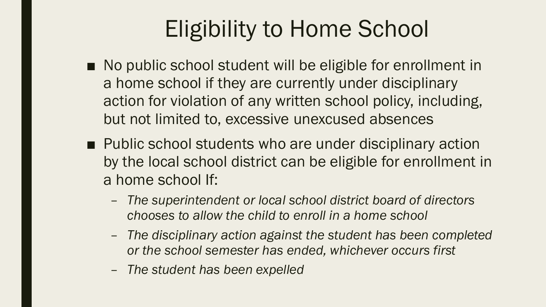# Eligibility to Home School

- No public school student will be eligible for enrollment in a home school if they are currently under disciplinary action for violation of any written school policy, including, but not limited to, excessive unexcused absences
- Public school students who are under disciplinary action by the local school district can be eligible for enrollment in a home school If:
	- *The superintendent or local school district board of directors chooses to allow the child to enroll in a home school*
	- *The disciplinary action against the student has been completed or the school semester has ended, whichever occurs first*
	- *The student has been expelled*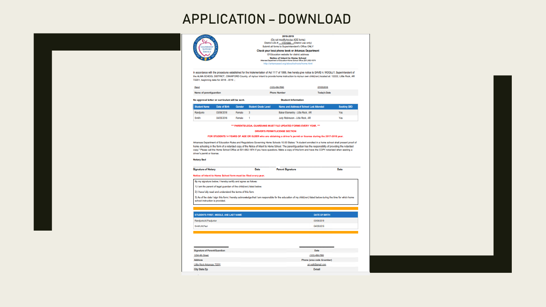#### APPLICATION – DOWNLOAD



(Do not modify/revise ADE forms) District LEA # 1701000 (District use only) Submit all forms to Superintendent's Office ONLY Check your local phone book or Arkansas Department Of Education website for district address Notice of Intent to Home School<br>Alexand Dipartment of Education-Home School Office (201) 682-1874

**Student Information** 

In accordance with the procedures established for the Implementation of Act 1117 of 1999, Ilwe hereby give notice to DAVID A. WOOLLY, Superintendent of the ALMA SCHOOL DISTRICT, CRAWFORD County, of mylour intent to provide home instruction to mylour own child(ren) located at: 12222, Little Rock, AR 72201, beginning date for 2018 - 2019 .:

| <b>Earth</b>            | (123) 456-7890      | 07/05/2018          |
|-------------------------|---------------------|---------------------|
| Name of parent/guardian | <b>Phone Number</b> | <b>Today's Date</b> |

No approval letter or curriculum will be sent.

|           |            |        | Student Name Date of Birth Gender Student Grade Level | Name and Address of School Last Attended | Seeking GED |
|-----------|------------|--------|-------------------------------------------------------|------------------------------------------|-------------|
| Randjunio | 03/06/2018 | Female |                                                       | Baker Elementry - Little Rock, AR        | Yes         |
| Smith     | 04/05/2016 | Female |                                                       | Judy Robinsoon - Little Rock, AR         | Yes         |

#### \*\*\* PARENTS/LEGAL GUARDIANS MUST FILE UPDATED FORMS EVERY YEAR. \*\*\*

#### DRIVER'S PERMIT/LICENSE SECTION

#### FOR STUDENTS 14 YEARS OF AGE OR OLDER who are obtaining a driver's permit or license during the 2017-2018 year.

Arkansas Department of Education Rules and Regulations Governing Home Schools 10.00 States: "A student enrolled in a home school shall present proof of home schooling in the form of a notarized copy of the Notice of Intent to Home School. The parentiquardian has the responsibility of providing the notarized copy." Please call the Home School Office at 501-682-1874 if you have questions. Make a copy of this form and have the COPY notarized when seeking a driver's permit or license.

#### **Notary Seal**

R

| <b>Signature of Notary</b> | Date | <b>Parent Signature</b> | Date |
|----------------------------|------|-------------------------|------|

#### Notice of Intent to Home School form must be filed every year.

By my signature below, I hereby certify and agree as follows:

1) I am the parent of legal guardian of the child(ren) listed below.

2) I have fully read and understand the terms of this form.

3) As of the date I sign this form, I hereby acknowledge that I am responsible for the education of my child(ren) listed below during the time for which home school instruction is provided.

| STUDENT'S FIRST, MIDDLE, AND LAST NAME | <b>DATE OF BIRTH</b> |
|----------------------------------------|----------------------|
| Randjunio, M, Pauljunior               | 03/06/2018           |
| <b>Smith M.Paul</b>                    | 04/05/2016           |

| Signature of Parent/Guardian | Date                       |
|------------------------------|----------------------------|
| 1234 4th Street              | (123) 456-7890             |
| <b>Address</b>               | Phone (area code & number) |
| Little Rock Arkansas 72201   | sri nett@gmail.com         |
| City State Zip               | E-mail                     |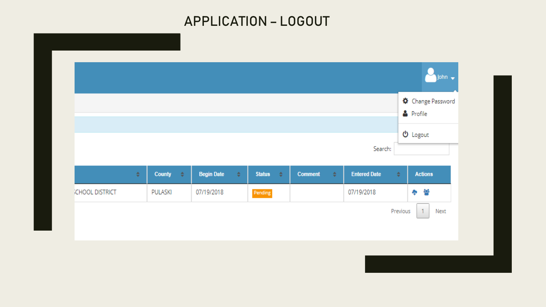#### APPLICATION – LOGOUT

|                        |   |               |     |                   |   |               |               |                |   |                     |          | Change Password<br><b>&amp;</b> Profile |
|------------------------|---|---------------|-----|-------------------|---|---------------|---------------|----------------|---|---------------------|----------|-----------------------------------------|
|                        |   |               |     |                   |   |               |               |                |   | Search:             |          | $\Phi$ Logout                           |
|                        | ÷ | <b>County</b> | ∴≑. | <b>Begin Date</b> | ÷ | <b>Status</b> | $\Rightarrow$ | <b>Comment</b> | ÷ | <b>Entered Date</b> | $\div$   | <b>Actions</b>                          |
| <b>SCHOOL DISTRICT</b> |   | PULASKI       |     | 07/19/2018        |   | Pending       |               |                |   | 07/19/2018          |          | 各<br>4p                                 |
|                        |   |               |     |                   |   |               |               |                |   |                     | Previous | $\mathbf{1}$<br>Next                    |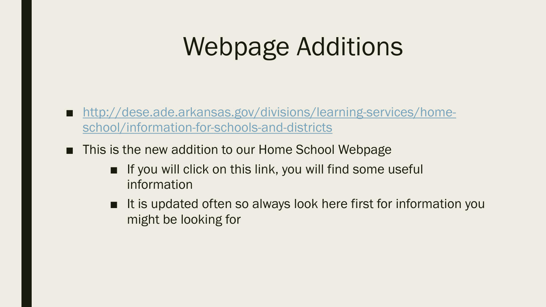# Webpage Additions

- [http://dese.ade.arkansas.gov/divisions/learning-services/home](http://dese.ade.arkansas.gov/divisions/learning-services/home-school/information-for-schools-and-districts)school/information-for-schools-and-districts
- This is the new addition to our Home School Webpage
	- If you will click on this link, you will find some useful information
	- It is updated often so always look here first for information you might be looking for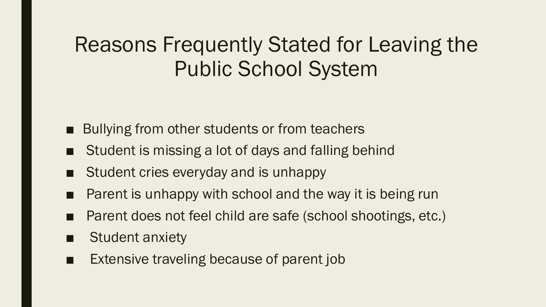## Reasons Frequently Stated for Leaving the Public School System

- Bullying from other students or from teachers
- Student is missing a lot of days and falling behind
- Student cries everyday and is unhappy
- Parent is unhappy with school and the way it is being run
- Parent does not feel child are safe (school shootings, etc.)
- Student anxiety
- Extensive traveling because of parent job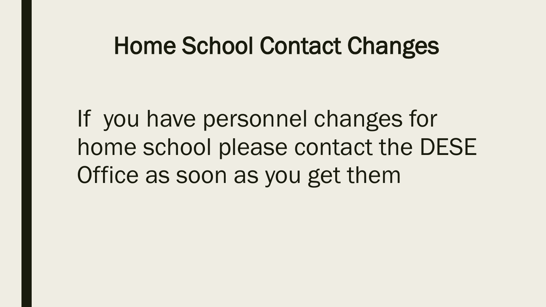# Home School Contact Changes

If you have personnel changes for home school please contact the DESE Office as soon as you get them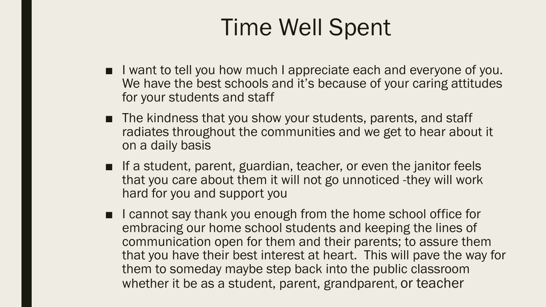# Time Well Spent

- I want to tell you how much I appreciate each and everyone of you. We have the best schools and it's because of your caring attitudes for your students and staff
- The kindness that you show your students, parents, and staff radiates throughout the communities and we get to hear about it on a daily basis
- If a student, parent, guardian, teacher, or even the janitor feels that you care about them it will not go unnoticed -they will work hard for you and support you
- I cannot say thank you enough from the home school office for embracing our home school students and keeping the lines of communication open for them and their parents; to assure them that you have their best interest at heart. This will pave the way for them to someday maybe step back into the public classroom whether it be as a student, parent, grandparent, or teacher